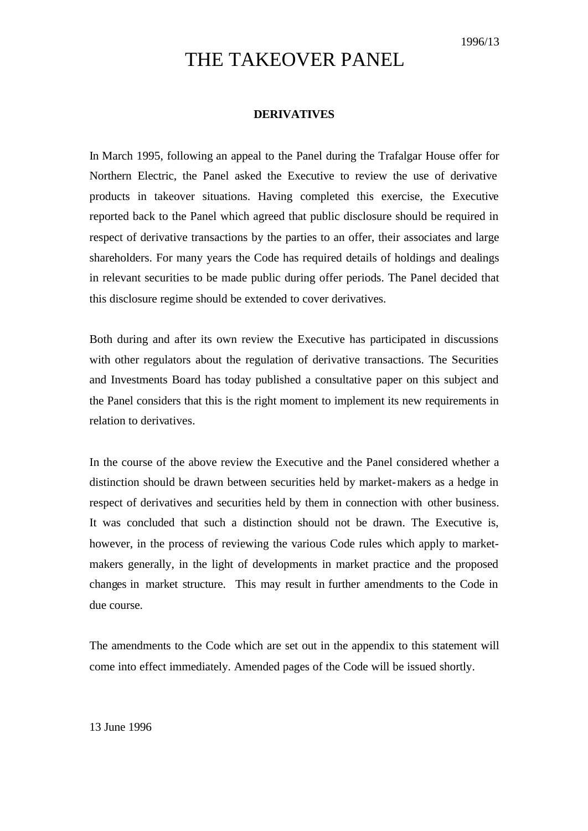# THE TAKEOVER PANEL

## **DERIVATIVES**

In March 1995, following an appeal to the Panel during the Trafalgar House offer for Northern Electric, the Panel asked the Executive to review the use of derivative products in takeover situations. Having completed this exercise, the Executive reported back to the Panel which agreed that public disclosure should be required in respect of derivative transactions by the parties to an offer, their associates and large shareholders. For many years the Code has required details of holdings and dealings in relevant securities to be made public during offer periods. The Panel decided that this disclosure regime should be extended to cover derivatives.

Both during and after its own review the Executive has participated in discussions with other regulators about the regulation of derivative transactions. The Securities and Investments Board has today published a consultative paper on this subject and the Panel considers that this is the right moment to implement its new requirements in relation to derivatives.

In the course of the above review the Executive and the Panel considered whether a distinction should be drawn between securities held by market-makers as a hedge in respect of derivatives and securities held by them in connection with other business. It was concluded that such a distinction should not be drawn. The Executive is, however, in the process of reviewing the various Code rules which apply to marketmakers generally, in the light of developments in market practice and the proposed changes in market structure. This may result in further amendments to the Code in due course.

The amendments to the Code which are set out in the appendix to this statement will come into effect immediately. Amended pages of the Code will be issued shortly.

13 June 1996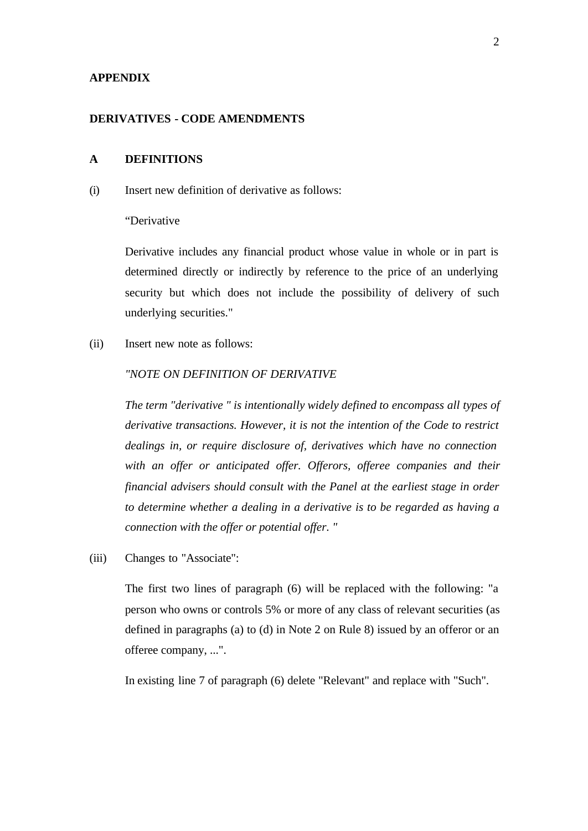#### **APPENDIX**

#### **DERIVATIVES - CODE AMENDMENTS**

# **A DEFINITIONS**

(i) Insert new definition of derivative as follows:

### "Derivative

Derivative includes any financial product whose value in whole or in part is determined directly or indirectly by reference to the price of an underlying security but which does not include the possibility of delivery of such underlying securities."

(ii) Insert new note as follows:

## *"NOTE ON DEFINITION OF DERIVATIVE*

*The term "derivative " is intentionally widely defined to encompass all types of derivative transactions. However, it is not the intention of the Code to restrict dealings in, or require disclosure of, derivatives which have no connection*  with an offer or anticipated offer. Offerors, offeree companies and their *financial advisers should consult with the Panel at the earliest stage in order to determine whether a dealing in a derivative is to be regarded as having a connection with the offer or potential offer. "*

(iii) Changes to "Associate":

The first two lines of paragraph (6) will be replaced with the following: "a person who owns or controls 5% or more of any class of relevant securities (as defined in paragraphs (a) to (d) in Note 2 on Rule 8) issued by an offeror or an offeree company, ...".

In existing line 7 of paragraph (6) delete "Relevant" and replace with "Such".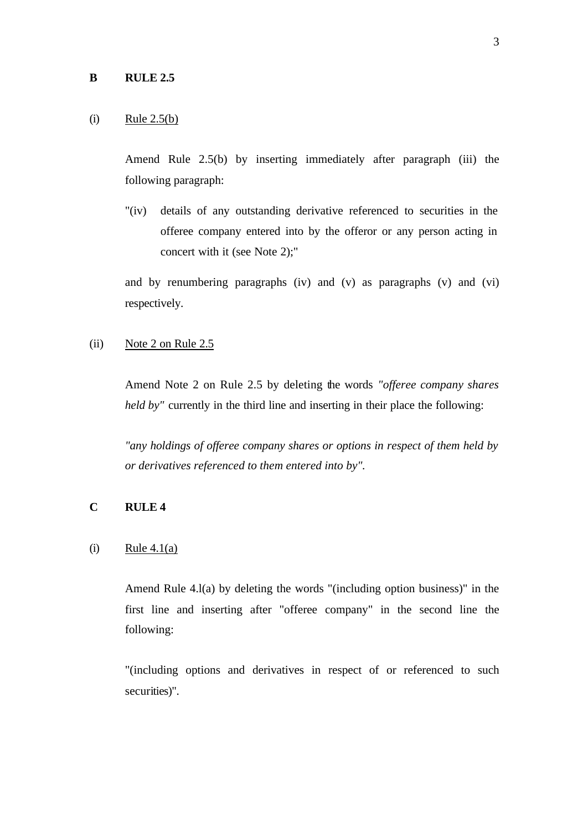#### $(i)$  Rule 2.5(b)

Amend Rule 2.5(b) by inserting immediately after paragraph (iii) the following paragraph:

"(iv) details of any outstanding derivative referenced to securities in the offeree company entered into by the offeror or any person acting in concert with it (see Note 2);"

and by renumbering paragraphs (iv) and (v) as paragraphs (v) and (vi) respectively.

(ii) Note 2 on Rule 2.5

Amend Note 2 on Rule 2.5 by deleting the words *"offeree company shares held by"* currently in the third line and inserting in their place the following:

*"any holdings of offeree company shares or options in respect of them held by or derivatives referenced to them entered into by".*

# **C RULE 4**

## $(i)$  Rule 4.1(a)

Amend Rule 4.l(a) by deleting the words "(including option business)" in the first line and inserting after "offeree company" in the second line the following:

"(including options and derivatives in respect of or referenced to such securities)".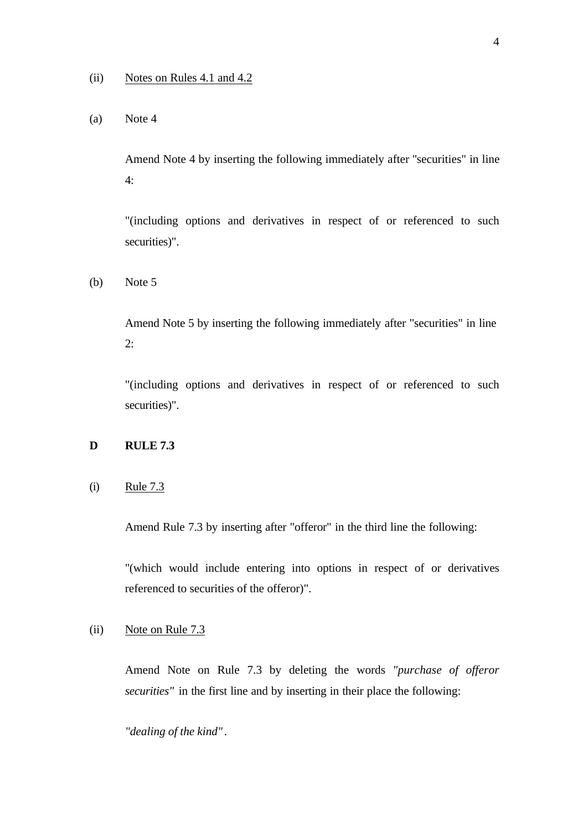# (a) Note 4

Amend Note 4 by inserting the following immediately after ''securities" in line 4:

"(including options and derivatives in respect of or referenced to such securities)".

(b) Note 5

Amend Note 5 by inserting the following immediately after "securities" in line 2:

"(including options and derivatives in respect of or referenced to such securities)".

# **D RULE 7.3**

# (i) Rule 7.3

Amend Rule 7.3 by inserting after "offeror" in the third line the following:

"(which would include entering into options in respect of or derivatives referenced to securities of the offeror)".

#### (ii) Note on Rule 7.3

Amend Note on Rule 7.3 by deleting the words *"purchase of offeror securities"* in the first line and by inserting in their place the following:

*"dealing of the kind"* .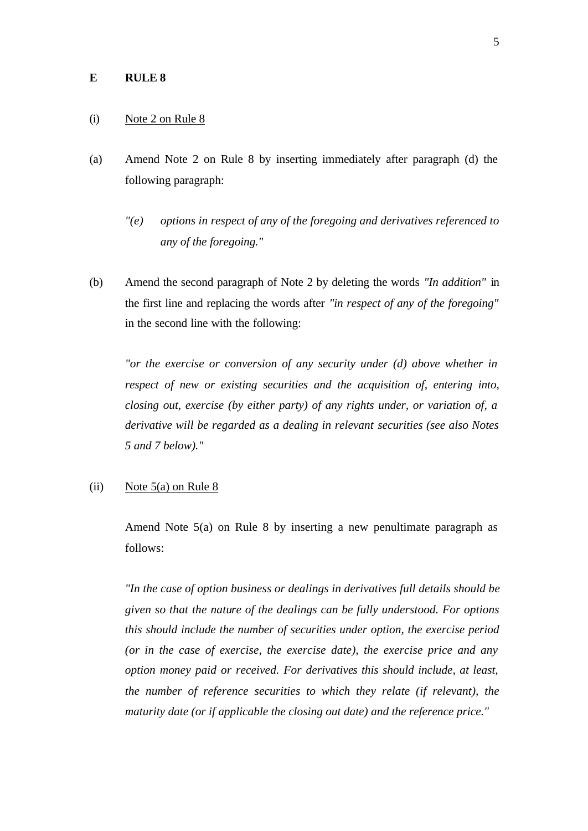#### **E RULE 8**

#### (i) Note 2 on Rule 8

- (a) Amend Note 2 on Rule 8 by inserting immediately after paragraph (d) the following paragraph:
	- *"(e) options in respect of any of the foregoing and derivatives referenced to any of the foregoing."*
- (b) Amend the second paragraph of Note 2 by deleting the words *"In addition"* in the first line and replacing the words after *"in respect of any of the foregoing"* in the second line with the following:

*"or the exercise or conversion of any security under (d) above whether in respect of new or existing securities and the acquisition of, entering into, closing out, exercise (by either party) of any rights under, or variation of, a derivative will be regarded as a dealing in relevant securities (see also Notes 5 and 7 below)."*

# (ii) Note  $5(a)$  on Rule 8

Amend Note 5(a) on Rule 8 by inserting a new penultimate paragraph as follows:

*"In the case of option business or dealings in derivatives full details should be given so that the nature of the dealings can be fully understood. For options this should include the number of securities under option, the exercise period (or in the case of exercise, the exercise date), the exercise price and any option money paid or received. For derivatives this should include, at least, the number of reference securities to which they relate (if relevant), the maturity date (or if applicable the closing out date) and the reference price."*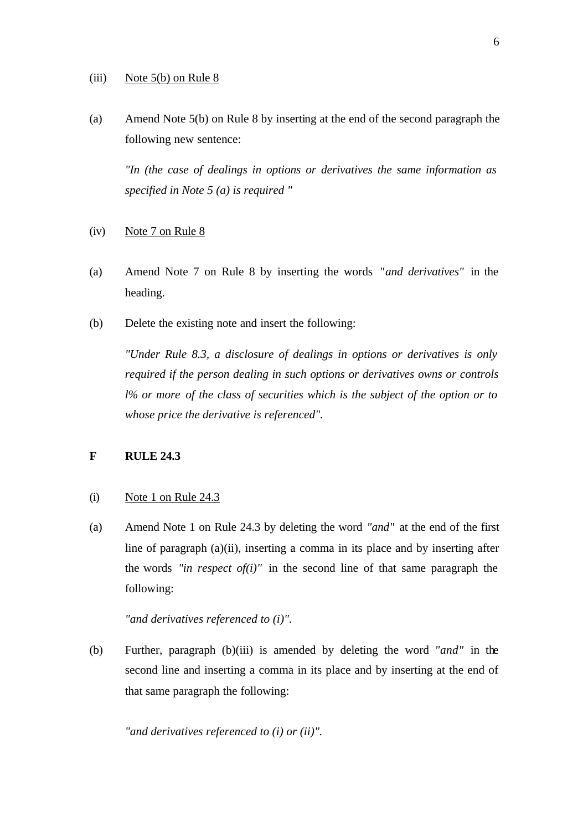#### (iii) Note  $5(b)$  on Rule 8

(a) Amend Note 5(b) on Rule 8 by inserting at the end of the second paragraph the following new sentence:

*"In (the case of dealings in options or derivatives the same information as specified in Note 5 (a) is required "*

- (iv) Note 7 on Rule 8
- (a) Amend Note 7 on Rule 8 by inserting the words *"and derivatives"* in the heading.
- (b) Delete the existing note and insert the following:

*"Under Rule 8.3, a disclosure of dealings in options or derivatives is only required if the person dealing in such options or derivatives owns or controls l% or more of the class of securities which is the subject of the option or to whose price the derivative is referenced".*

# **F RULE 24.3**

#### (i) Note 1 on Rule 24.3

(a) Amend Note 1 on Rule 24.3 by deleting the word *"and"* at the end of the first line of paragraph (a)(ii), inserting a comma in its place and by inserting after the words *"in respect of(i)"* in the second line of that same paragraph the following:

#### *"and derivatives referenced to (i)".*

(b) Further, paragraph (b)(iii) is amended by deleting the word *"and"* in the second line and inserting a comma in its place and by inserting at the end of that same paragraph the following:

*"and derivatives referenced to (i) or (ii)".*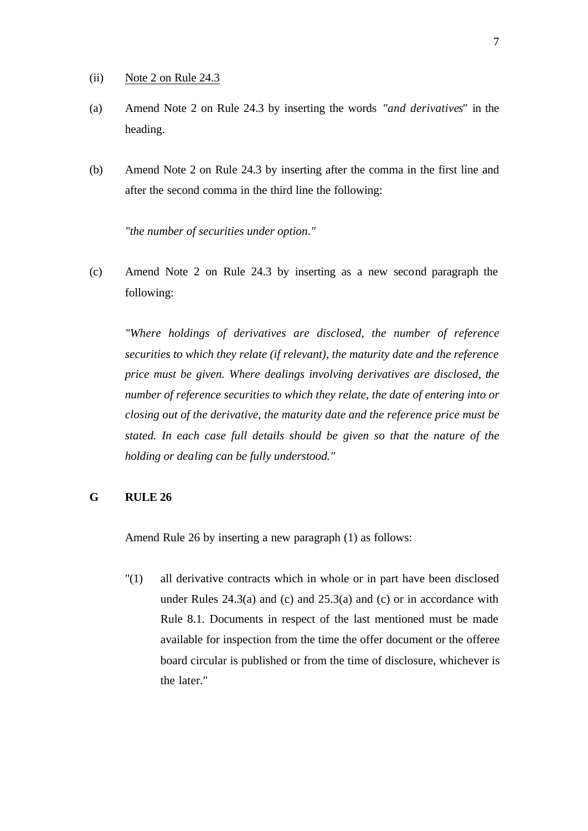- (ii) Note 2 on Rule 24.3
- (a) Amend Note 2 on Rule 24.3 by inserting the words *"and derivatives"* in the heading.
- (b) Amend Note 2 on Rule 24.3 by inserting after the comma in the first line and after the second comma in the third line the following:

*"the number of securities under option*.*"*

(c) Amend Note 2 on Rule 24.3 by inserting as a new second paragraph the following:

*"Where holdings of derivatives are disclosed, the number of reference securities to which they relate (if relevant), the maturity date and the reference price must be given. Where dealings involving derivatives are disclosed, the number of reference securities to which they relate, the date of entering into or closing out of the derivative, the maturity date and the reference price must be stated. In each case full details should be given so that the nature of the holding or dealing can be fully understood."*

# **G RULE 26**

Amend Rule 26 by inserting a new paragraph (1) as follows:

"(1) all derivative contracts which in whole or in part have been disclosed under Rules  $24.3(a)$  and (c) and  $25.3(a)$  and (c) or in accordance with Rule 8.1. Documents in respect of the last mentioned must be made available for inspection from the time the offer document or the offeree board circular is published or from the time of disclosure, whichever is the later."